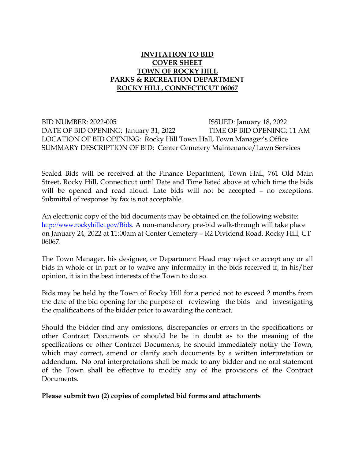# **INVITATION TO BID COVER SHEET TOWN OF ROCKY HILL PARKS & RECREATION DEPARTMENT ROCKY HILL, CONNECTICUT 06067**

BID NUMBER: 2022-005 ISSUED: January 18, 2022 DATE OF BID OPENING: January 31, 2022 TIME OF BID OPENING: 11 AM LOCATION OF BID OPENING: Rocky Hill Town Hall, Town Manager's Office SUMMARY DESCRIPTION OF BID: Center Cemetery Maintenance/Lawn Services

Sealed Bids will be received at the Finance Department, Town Hall, 761 Old Main Street, Rocky Hill, Connecticut until Date and Time listed above at which time the bids will be opened and read aloud. Late bids will not be accepted - no exceptions. Submittal of response by fax is not acceptable.

An electronic copy of the bid documents may be obtained on the following website: [http://www.rockyhillct.gov/Bids.](http://www.rockyhillct.gov/Bids) A non-mandatory pre-bid walk-through will take place on January 24, 2022 at 11:00am at Center Cemetery – R2 Dividend Road, Rocky Hill, CT 06067.

The Town Manager, his designee, or Department Head may reject or accept any or all bids in whole or in part or to waive any informality in the bids received if, in his/her opinion, it is in the best interests of the Town to do so.

Bids may be held by the Town of Rocky Hill for a period not to exceed 2 months from the date of the bid opening for the purpose of reviewing the bids and investigating the qualifications of the bidder prior to awarding the contract.

Should the bidder find any omissions, discrepancies or errors in the specifications or other Contract Documents or should he be in doubt as to the meaning of the specifications or other Contract Documents, he should immediately notify the Town, which may correct, amend or clarify such documents by a written interpretation or addendum. No oral interpretations shall be made to any bidder and no oral statement of the Town shall be effective to modify any of the provisions of the Contract Documents.

### **Please submit two (2) copies of completed bid forms and attachments**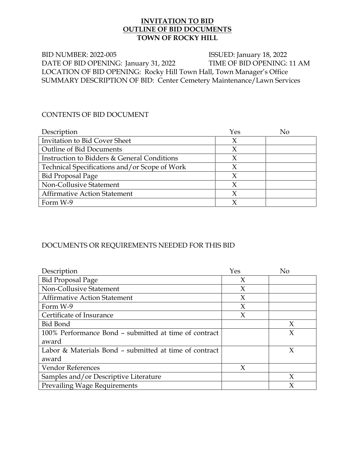### **INVITATION TO BID OUTLINE OF BID DOCUMENTS TOWN OF ROCKY HILL**

BID NUMBER: 2022-005 ISSUED: January 18, 2022 DATE OF BID OPENING: January 31, 2022 TIME OF BID OPENING: 11 AM LOCATION OF BID OPENING: Rocky Hill Town Hall, Town Manager's Office SUMMARY DESCRIPTION OF BID: Center Cemetery Maintenance/Lawn Services

### CONTENTS OF BID DOCUMENT

| Description                                   | Yes    | No |
|-----------------------------------------------|--------|----|
| <b>Invitation to Bid Cover Sheet</b>          | X      |    |
| <b>Outline of Bid Documents</b>               | X      |    |
| Instruction to Bidders & General Conditions   | X      |    |
| Technical Specifications and/or Scope of Work | Χ      |    |
| <b>Bid Proposal Page</b>                      | χ      |    |
| Non-Collusive Statement                       | $\chi$ |    |
| <b>Affirmative Action Statement</b>           |        |    |
| Form W-9                                      |        |    |

# DOCUMENTS OR REQUIREMENTS NEEDED FOR THIS BID

| Description                                            | Yes    | No     |
|--------------------------------------------------------|--------|--------|
| <b>Bid Proposal Page</b>                               | X      |        |
| Non-Collusive Statement                                | X      |        |
| <b>Affirmative Action Statement</b>                    | $\chi$ |        |
| Form W-9                                               | X      |        |
| Certificate of Insurance                               | $\chi$ |        |
| <b>Bid Bond</b>                                        |        | X      |
| 100% Performance Bond - submitted at time of contract  |        | $\chi$ |
| award                                                  |        |        |
| Labor & Materials Bond – submitted at time of contract |        | X      |
| award                                                  |        |        |
| Vendor References                                      | X      |        |
| Samples and/or Descriptive Literature                  |        | X      |
| <b>Prevailing Wage Requirements</b>                    |        |        |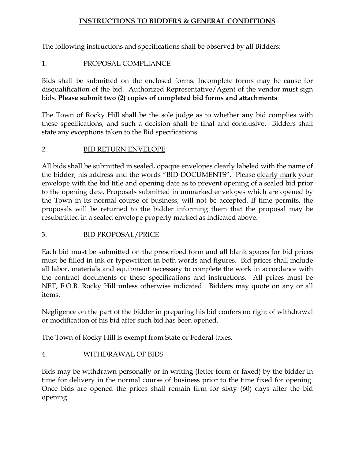### **INSTRUCTIONS TO BIDDERS & GENERAL CONDITIONS**

The following instructions and specifications shall be observed by all Bidders:

# 1. PROPOSAL COMPLIANCE

Bids shall be submitted on the enclosed forms. Incomplete forms may be cause for disqualification of the bid. Authorized Representative/Agent of the vendor must sign bids. **Please submit two (2) copies of completed bid forms and attachments**

The Town of Rocky Hill shall be the sole judge as to whether any bid complies with these specifications, and such a decision shall be final and conclusive. Bidders shall state any exceptions taken to the Bid specifications.

# 2. BID RETURN ENVELOPE

All bids shall be submitted in sealed, opaque envelopes clearly labeled with the name of the bidder, his address and the words "BID DOCUMENTS". Please clearly mark your envelope with the bid title and opening date as to prevent opening of a sealed bid prior to the opening date. Proposals submitted in unmarked envelopes which are opened by the Town in its normal course of business, will not be accepted. If time permits, the proposals will be returned to the bidder informing them that the proposal may be resubmitted in a sealed envelope properly marked as indicated above.

# 3. BID PROPOSAL/PRICE

Each bid must be submitted on the prescribed form and all blank spaces for bid prices must be filled in ink or typewritten in both words and figures. Bid prices shall include all labor, materials and equipment necessary to complete the work in accordance with the contract documents or these specifications and instructions. All prices must be NET, F.O.B. Rocky Hill unless otherwise indicated. Bidders may quote on any or all items.

Negligence on the part of the bidder in preparing his bid confers no right of withdrawal or modification of his bid after such bid has been opened.

The Town of Rocky Hill is exempt from State or Federal taxes.

# 4. WITHDRAWAL OF BIDS

Bids may be withdrawn personally or in writing (letter form or faxed) by the bidder in time for delivery in the normal course of business prior to the time fixed for opening. Once bids are opened the prices shall remain firm for sixty (60) days after the bid opening.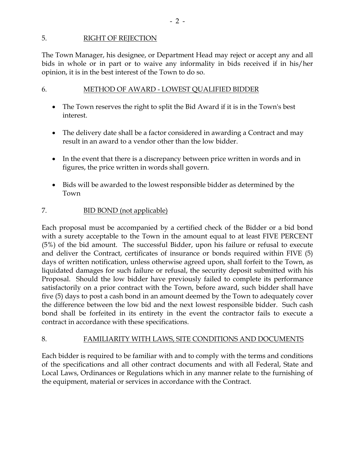### 5. RIGHT OF REJECTION

The Town Manager, his designee, or Department Head may reject or accept any and all bids in whole or in part or to waive any informality in bids received if in his/her opinion, it is in the best interest of the Town to do so.

### 6. METHOD OF AWARD - LOWEST QUALIFIED BIDDER

- The Town reserves the right to split the Bid Award if it is in the Town's best interest.
- The delivery date shall be a factor considered in awarding a Contract and may result in an award to a vendor other than the low bidder.
- In the event that there is a discrepancy between price written in words and in figures, the price written in words shall govern.
- Bids will be awarded to the lowest responsible bidder as determined by the Town

### 7. BID BOND (not applicable)

Each proposal must be accompanied by a certified check of the Bidder or a bid bond with a surety acceptable to the Town in the amount equal to at least FIVE PERCENT (5%) of the bid amount. The successful Bidder, upon his failure or refusal to execute and deliver the Contract, certificates of insurance or bonds required within FIVE (5) days of written notification, unless otherwise agreed upon, shall forfeit to the Town, as liquidated damages for such failure or refusal, the security deposit submitted with his Proposal. Should the low bidder have previously failed to complete its performance satisfactorily on a prior contract with the Town, before award, such bidder shall have five (5) days to post a cash bond in an amount deemed by the Town to adequately cover the difference between the low bid and the next lowest responsible bidder. Such cash bond shall be forfeited in its entirety in the event the contractor fails to execute a contract in accordance with these specifications.

### 8. FAMILIARITY WITH LAWS, SITE CONDITIONS AND DOCUMENTS

Each bidder is required to be familiar with and to comply with the terms and conditions of the specifications and all other contract documents and with all Federal, State and Local Laws, Ordinances or Regulations which in any manner relate to the furnishing of the equipment, material or services in accordance with the Contract.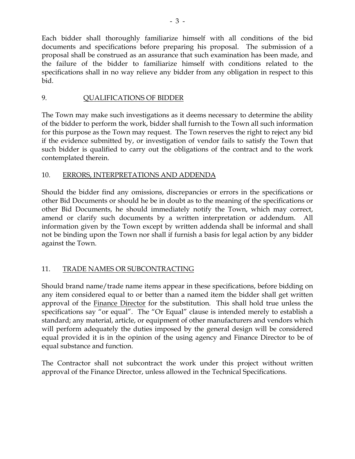Each bidder shall thoroughly familiarize himself with all conditions of the bid documents and specifications before preparing his proposal. The submission of a proposal shall be construed as an assurance that such examination has been made, and the failure of the bidder to familiarize himself with conditions related to the specifications shall in no way relieve any bidder from any obligation in respect to this bid.

# 9. QUALIFICATIONS OF BIDDER

The Town may make such investigations as it deems necessary to determine the ability of the bidder to perform the work, bidder shall furnish to the Town all such information for this purpose as the Town may request. The Town reserves the right to reject any bid if the evidence submitted by, or investigation of vendor fails to satisfy the Town that such bidder is qualified to carry out the obligations of the contract and to the work contemplated therein.

# 10. ERRORS, INTERPRETATIONS AND ADDENDA

Should the bidder find any omissions, discrepancies or errors in the specifications or other Bid Documents or should he be in doubt as to the meaning of the specifications or other Bid Documents, he should immediately notify the Town, which may correct, amend or clarify such documents by a written interpretation or addendum. All information given by the Town except by written addenda shall be informal and shall not be binding upon the Town nor shall if furnish a basis for legal action by any bidder against the Town.

# 11. TRADE NAMES OR SUBCONTRACTING

Should brand name/trade name items appear in these specifications, before bidding on any item considered equal to or better than a named item the bidder shall get written approval of the Finance Director for the substitution. This shall hold true unless the specifications say "or equal". The "Or Equal" clause is intended merely to establish a standard; any material, article, or equipment of other manufacturers and vendors which will perform adequately the duties imposed by the general design will be considered equal provided it is in the opinion of the using agency and Finance Director to be of equal substance and function.

The Contractor shall not subcontract the work under this project without written approval of the Finance Director, unless allowed in the Technical Specifications.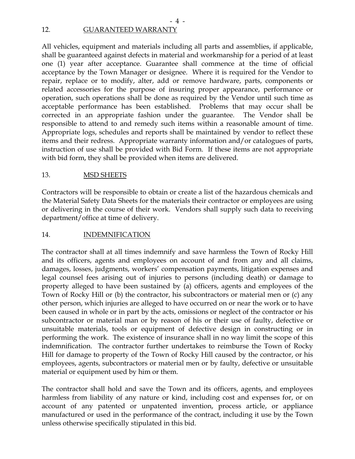# 12. GUARANTEED WARRANTY

All vehicles, equipment and materials including all parts and assemblies, if applicable, shall be guaranteed against defects in material and workmanship for a period of at least one (1) year after acceptance. Guarantee shall commence at the time of official acceptance by the Town Manager or designee. Where it is required for the Vendor to repair, replace or to modify, alter, add or remove hardware, parts, components or related accessories for the purpose of insuring proper appearance, performance or operation, such operations shall be done as required by the Vendor until such time as acceptable performance has been established. Problems that may occur shall be corrected in an appropriate fashion under the guarantee. The Vendor shall be responsible to attend to and remedy such items within a reasonable amount of time. Appropriate logs, schedules and reports shall be maintained by vendor to reflect these items and their redress. Appropriate warranty information and/or catalogues of parts, instruction of use shall be provided with Bid Form. If these items are not appropriate with bid form, they shall be provided when items are delivered.

- 4 -

### 13. MSD SHEETS

Contractors will be responsible to obtain or create a list of the hazardous chemicals and the Material Safety Data Sheets for the materials their contractor or employees are using or delivering in the course of their work. Vendors shall supply such data to receiving department/office at time of delivery.

### 14. INDEMNIFICATION

The contractor shall at all times indemnify and save harmless the Town of Rocky Hill and its officers, agents and employees on account of and from any and all claims, damages, losses, judgments, workers' compensation payments, litigation expenses and legal counsel fees arising out of injuries to persons (including death) or damage to property alleged to have been sustained by (a) officers, agents and employees of the Town of Rocky Hill or (b) the contractor, his subcontractors or material men or (c) any other person, which injuries are alleged to have occurred on or near the work or to have been caused in whole or in part by the acts, omissions or neglect of the contractor or his subcontractor or material man or by reason of his or their use of faulty, defective or unsuitable materials, tools or equipment of defective design in constructing or in performing the work. The existence of insurance shall in no way limit the scope of this indemnification. The contractor further undertakes to reimburse the Town of Rocky Hill for damage to property of the Town of Rocky Hill caused by the contractor, or his employees, agents, subcontractors or material men or by faulty, defective or unsuitable material or equipment used by him or them.

The contractor shall hold and save the Town and its officers, agents, and employees harmless from liability of any nature or kind, including cost and expenses for, or on account of any patented or unpatented invention, process article, or appliance manufactured or used in the performance of the contract, including it use by the Town unless otherwise specifically stipulated in this bid.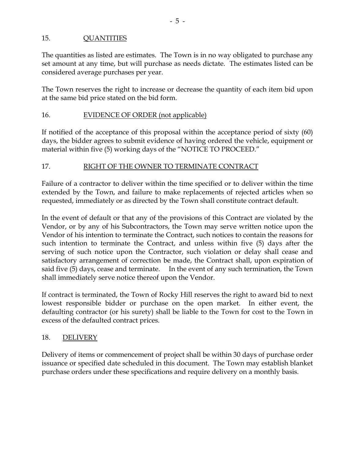# 15. QUANTITIES

The quantities as listed are estimates. The Town is in no way obligated to purchase any set amount at any time, but will purchase as needs dictate. The estimates listed can be considered average purchases per year.

The Town reserves the right to increase or decrease the quantity of each item bid upon at the same bid price stated on the bid form.

#### 16. EVIDENCE OF ORDER (not applicable)

If notified of the acceptance of this proposal within the acceptance period of sixty (60) days, the bidder agrees to submit evidence of having ordered the vehicle, equipment or material within five (5) working days of the "NOTICE TO PROCEED."

### 17. RIGHT OF THE OWNER TO TERMINATE CONTRACT

Failure of a contractor to deliver within the time specified or to deliver within the time extended by the Town, and failure to make replacements of rejected articles when so requested, immediately or as directed by the Town shall constitute contract default.

In the event of default or that any of the provisions of this Contract are violated by the Vendor, or by any of his Subcontractors, the Town may serve written notice upon the Vendor of his intention to terminate the Contract, such notices to contain the reasons for such intention to terminate the Contract, and unless within five (5) days after the serving of such notice upon the Contractor, such violation or delay shall cease and satisfactory arrangement of correction be made, the Contract shall, upon expiration of said five (5) days, cease and terminate. In the event of any such termination, the Town shall immediately serve notice thereof upon the Vendor.

If contract is terminated, the Town of Rocky Hill reserves the right to award bid to next lowest responsible bidder or purchase on the open market. In either event, the defaulting contractor (or his surety) shall be liable to the Town for cost to the Town in excess of the defaulted contract prices.

### 18. DELIVERY

Delivery of items or commencement of project shall be within 30 days of purchase order issuance or specified date scheduled in this document. The Town may establish blanket purchase orders under these specifications and require delivery on a monthly basis.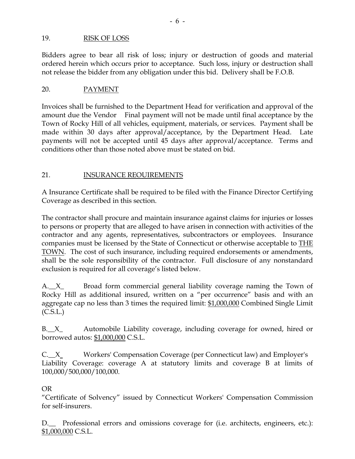### 19. RISK OF LOSS

Bidders agree to bear all risk of loss; injury or destruction of goods and material ordered herein which occurs prior to acceptance. Such loss, injury or destruction shall not release the bidder from any obligation under this bid. Delivery shall be F.O.B.

### 20. PAYMENT

Invoices shall be furnished to the Department Head for verification and approval of the amount due the Vendor Final payment will not be made until final acceptance by the Town of Rocky Hill of all vehicles, equipment, materials, or services. Payment shall be made within 30 days after approval/acceptance, by the Department Head. Late payments will not be accepted until 45 days after approval/acceptance. Terms and conditions other than those noted above must be stated on bid.

### 21. INSURANCE REOUIREMENTS

A Insurance Certificate shall be required to be filed with the Finance Director Certifying Coverage as described in this section.

The contractor shall procure and maintain insurance against claims for injuries or losses to persons or property that are alleged to have arisen in connection with activities of the contractor and any agents, representatives, subcontractors or employees. Insurance companies must be licensed by the State of Connecticut or otherwise acceptable to THE TOWN. The cost of such insurance, including required endorsements or amendments, shall be the sole responsibility of the contractor. Full disclosure of any nonstandard exclusion is required for all coverage's listed below.

A.<sub>\_\_</sub>X<sub>\_</sub> Broad form commercial general liability coverage naming the Town of Rocky Hill as additional insured, written on a "per occurrence" basis and with an aggregate cap no less than 3 times the required limit: \$1,000,000 Combined Single Limit (C.S.L.)

B.<sub>\_\_</sub>X<sub>\_</sub> Automobile Liability coverage, including coverage for owned, hired or borrowed autos: \$1,000,000 C.S.L.

C.\_\_X Workers' Compensation Coverage (per Connecticut law) and Employer's Liability Coverage: coverage A at statutory limits and coverage B at limits of 100,000/500,000/100,000.

### OR

"Certificate of Solvency" issued by Connecticut Workers' Compensation Commission for self-insurers.

D. Professional errors and omissions coverage for (i.e. architects, engineers, etc.): \$1,000,000 C.S.L.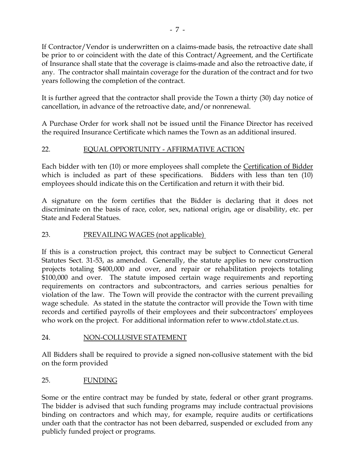If Contractor/Vendor is underwritten on a claims-made basis, the retroactive date shall be prior to or coincident with the date of this Contract/Agreement, and the Certificate of Insurance shall state that the coverage is claims-made and also the retroactive date, if any. The contractor shall maintain coverage for the duration of the contract and for two years following the completion of the contract.

It is further agreed that the contractor shall provide the Town a thirty (30) day notice of cancellation, in advance of the retroactive date, and/or nonrenewal.

A Purchase Order for work shall not be issued until the Finance Director has received the required Insurance Certificate which names the Town as an additional insured.

# 22. EQUAL OPPORTUNITY - AFFIRMATIVE ACTION

Each bidder with ten (10) or more employees shall complete the Certification of Bidder which is included as part of these specifications. Bidders with less than ten (10) employees should indicate this on the Certification and return it with their bid.

A signature on the form certifies that the Bidder is declaring that it does not discriminate on the basis of race, color, sex, national origin, age or disability, etc. per State and Federal Statues.

# 23. PREVAILING WAGES (not applicable)

If this is a construction project, this contract may be subject to Connecticut General Statutes Sect. 31-53, as amended. Generally, the statute applies to new construction projects totaling \$400,000 and over, and repair or rehabilitation projects totaling \$100,000 and over. The statute imposed certain wage requirements and reporting requirements on contractors and subcontractors, and carries serious penalties for violation of the law. The Town will provide the contractor with the current prevailing wage schedule. As stated in the statute the contractor will provide the Town with time records and certified payrolls of their employees and their subcontractors' employees who work on the project. For additional information refer to www.ctdol.state.ct.us.

# 24. NON-COLLUSIVE STATEMENT

All Bidders shall be required to provide a signed non-collusive statement with the bid on the form provided

# 25. FUNDING

Some or the entire contract may be funded by state, federal or other grant programs. The bidder is advised that such funding programs may include contractual provisions binding on contractors and which may, for example, require audits or certifications under oath that the contractor has not been debarred, suspended or excluded from any publicly funded project or programs.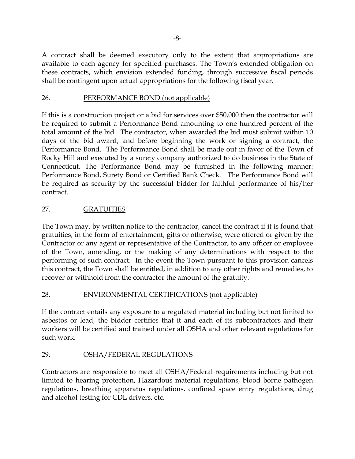A contract shall be deemed executory only to the extent that appropriations are available to each agency for specified purchases. The Town's extended obligation on these contracts, which envision extended funding, through successive fiscal periods shall be contingent upon actual appropriations for the following fiscal year.

# 26. PERFORMANCE BOND (not applicable)

If this is a construction project or a bid for services over \$50,000 then the contractor will be required to submit a Performance Bond amounting to one hundred percent of the total amount of the bid. The contractor, when awarded the bid must submit within 10 days of the bid award, and before beginning the work or signing a contract, the Performance Bond. The Performance Bond shall be made out in favor of the Town of Rocky Hill and executed by a surety company authorized to do business in the State of Connecticut. The Performance Bond may be furnished in the following manner: Performance Bond, Surety Bond or Certified Bank Check. The Performance Bond will be required as security by the successful bidder for faithful performance of his/her contract.

# 27. GRATUITIES

The Town may, by written notice to the contractor, cancel the contract if it is found that gratuities, in the form of entertainment, gifts or otherwise, were offered or given by the Contractor or any agent or representative of the Contractor, to any officer or employee of the Town, amending, or the making of any determinations with respect to the performing of such contract. In the event the Town pursuant to this provision cancels this contract, the Town shall be entitled, in addition to any other rights and remedies, to recover or withhold from the contractor the amount of the gratuity.

### 28. ENVIRONMENTAL CERTIFICATIONS (not applicable)

If the contract entails any exposure to a regulated material including but not limited to asbestos or lead, the bidder certifies that it and each of its subcontractors and their workers will be certified and trained under all OSHA and other relevant regulations for such work.

# 29. OSHA/FEDERAL REGULATIONS

Contractors are responsible to meet all OSHA/Federal requirements including but not limited to hearing protection, Hazardous material regulations, blood borne pathogen regulations, breathing apparatus regulations, confined space entry regulations, drug and alcohol testing for CDL drivers, etc.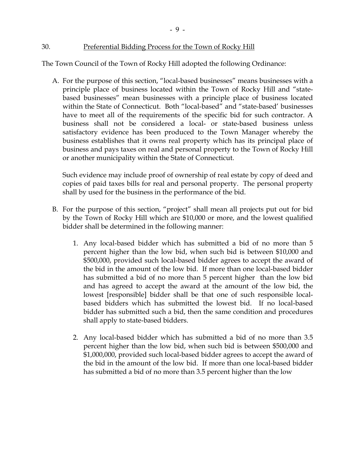#### 30. Preferential Bidding Process for the Town of Rocky Hill

The Town Council of the Town of Rocky Hill adopted the following Ordinance:

- 9 -

A. For the purpose of this section, "local-based businesses" means businesses with a principle place of business located within the Town of Rocky Hill and "statebased businesses" mean businesses with a principle place of business located within the State of Connecticut. Both "local-based" and "state-based' businesses have to meet all of the requirements of the specific bid for such contractor. A business shall not be considered a local- or state-based business unless satisfactory evidence has been produced to the Town Manager whereby the business establishes that it owns real property which has its principal place of business and pays taxes on real and personal property to the Town of Rocky Hill or another municipality within the State of Connecticut.

Such evidence may include proof of ownership of real estate by copy of deed and copies of paid taxes bills for real and personal property. The personal property shall by used for the business in the performance of the bid.

- B. For the purpose of this section, "project" shall mean all projects put out for bid by the Town of Rocky Hill which are \$10,000 or more, and the lowest qualified bidder shall be determined in the following manner:
	- 1. Any local-based bidder which has submitted a bid of no more than 5 percent higher than the low bid, when such bid is between \$10,000 and \$500,000, provided such local-based bidder agrees to accept the award of the bid in the amount of the low bid. If more than one local-based bidder has submitted a bid of no more than 5 percent higher than the low bid and has agreed to accept the award at the amount of the low bid, the lowest [responsible] bidder shall be that one of such responsible localbased bidders which has submitted the lowest bid. If no local-based bidder has submitted such a bid, then the same condition and procedures shall apply to state-based bidders.
	- 2. Any local-based bidder which has submitted a bid of no more than 3.5 percent higher than the low bid, when such bid is between \$500,000 and \$1,000,000, provided such local-based bidder agrees to accept the award of the bid in the amount of the low bid. If more than one local-based bidder has submitted a bid of no more than 3.5 percent higher than the low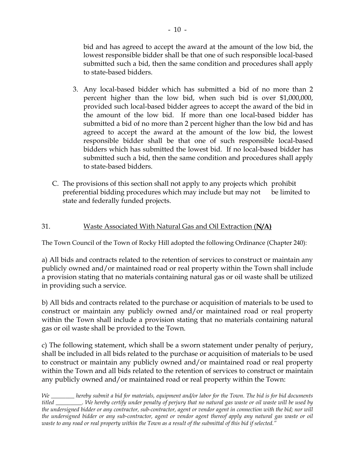bid and has agreed to accept the award at the amount of the low bid, the lowest responsible bidder shall be that one of such responsible local-based submitted such a bid, then the same condition and procedures shall apply to state-based bidders.

- 3. Any local-based bidder which has submitted a bid of no more than 2 percent higher than the low bid, when such bid is over \$1,000,000, provided such local-based bidder agrees to accept the award of the bid in the amount of the low bid. If more than one local-based bidder has submitted a bid of no more than 2 percent higher than the low bid and has agreed to accept the award at the amount of the low bid, the lowest responsible bidder shall be that one of such responsible local-based bidders which has submitted the lowest bid. If no local-based bidder has submitted such a bid, then the same condition and procedures shall apply to state-based bidders.
- C. The provisions of this section shall not apply to any projects which prohibit preferential bidding procedures which may include but may not be limited to state and federally funded projects.

# 31. Waste Associated With Natural Gas and Oil Extraction (**N/A)**

The Town Council of the Town of Rocky Hill adopted the following Ordinance (Chapter 240):

a) All bids and contracts related to the retention of services to construct or maintain any publicly owned and/or maintained road or real property within the Town shall include a provision stating that no materials containing natural gas or oil waste shall be utilized in providing such a service.

b) All bids and contracts related to the purchase or acquisition of materials to be used to construct or maintain any publicly owned and/or maintained road or real property within the Town shall include a provision stating that no materials containing natural gas or oil waste shall be provided to the Town.

c) The following statement, which shall be a sworn statement under penalty of perjury, shall be included in all bids related to the purchase or acquisition of materials to be used to construct or maintain any publicly owned and/or maintained road or real property within the Town and all bids related to the retention of services to construct or maintain any publicly owned and/or maintained road or real property within the Town:

*We \_\_\_\_\_\_\_\_ hereby submit a bid for materials, equipment and/or labor for the Town. The bid is for bid documents titled \_\_\_\_\_\_\_\_\_. We hereby certify under penalty of perjury that no natural gas waste or oil waste will be used by the undersigned bidder or any contractor, sub-contractor, agent or vendor agent in connection with the bid; nor will the undersigned bidder or any sub-contractor, agent or vendor agent thereof apply any natural gas waste or oil waste to any road or real property within the Town as a result of the submittal of this bid if selected."*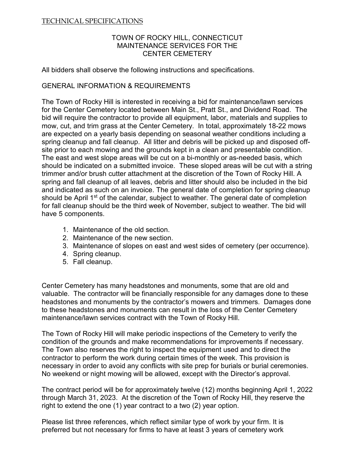#### TECHNICAL SPECIFICATIONS

#### TOWN OF ROCKY HILL, CONNECTICUT MAINTENANCE SERVICES FOR THE CENTER CEMETERY

All bidders shall observe the following instructions and specifications.

#### GENERAL INFORMATION & REQUIREMENTS

The Town of Rocky Hill is interested in receiving a bid for maintenance/lawn services for the Center Cemetery located between Main St., Pratt St., and Dividend Road. The bid will require the contractor to provide all equipment, labor, materials and supplies to mow, cut, and trim grass at the Center Cemetery. In total, approximately 18-22 mows are expected on a yearly basis depending on seasonal weather conditions including a spring cleanup and fall cleanup. All litter and debris will be picked up and disposed offsite prior to each mowing and the grounds kept in a clean and presentable condition. The east and west slope areas will be cut on a bi-monthly or as-needed basis, which should be indicated on a submitted invoice. These sloped areas will be cut with a string trimmer and/or brush cutter attachment at the discretion of the Town of Rocky Hill. A spring and fall cleanup of all leaves, debris and litter should also be included in the bid and indicated as such on an invoice. The general date of completion for spring cleanup should be April 1<sup>st</sup> of the calendar, subject to weather. The general date of completion for fall cleanup should be the third week of November, subject to weather. The bid will have 5 components.

- 1. Maintenance of the old section.
- 2. Maintenance of the new section.
- 3. Maintenance of slopes on east and west sides of cemetery (per occurrence).
- 4. Spring cleanup.
- 5. Fall cleanup.

Center Cemetery has many headstones and monuments, some that are old and valuable. The contractor will be financially responsible for any damages done to these headstones and monuments by the contractor's mowers and trimmers. Damages done to these headstones and monuments can result in the loss of the Center Cemetery maintenance/lawn services contract with the Town of Rocky Hill.

The Town of Rocky Hill will make periodic inspections of the Cemetery to verify the condition of the grounds and make recommendations for improvements if necessary. The Town also reserves the right to inspect the equipment used and to direct the contractor to perform the work during certain times of the week. This provision is necessary in order to avoid any conflicts with site prep for burials or burial ceremonies. No weekend or night mowing will be allowed, except with the Director's approval.

The contract period will be for approximately twelve (12) months beginning April 1, 2022 through March 31, 2023. At the discretion of the Town of Rocky Hill, they reserve the right to extend the one (1) year contract to a two (2) year option.

Please list three references, which reflect similar type of work by your firm. It is preferred but not necessary for firms to have at least 3 years of cemetery work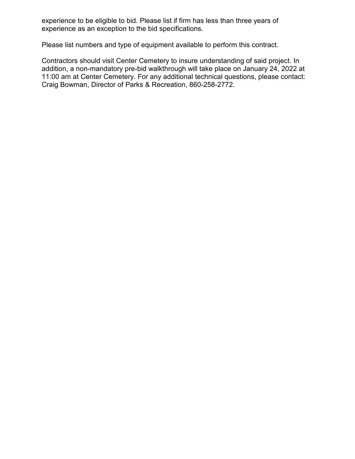experience to be eligible to bid. Please list if firm has less than three years of experience as an exception to the bid specifications.

Please list numbers and type of equipment available to perform this contract.

Contractors should visit Center Cemetery to insure understanding of said project. In addition, a non-mandatory pre-bid walkthrough will take place on January 24, 2022 at 11:00 am at Center Cemetery. For any additional technical questions, please contact: Craig Bowman, Director of Parks & Recreation, 860-258-2772.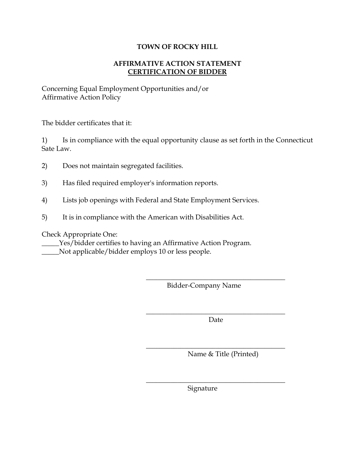### **TOWN OF ROCKY HILL**

# **AFFIRMATIVE ACTION STATEMENT CERTIFICATION OF BIDDER**

Concerning Equal Employment Opportunities and/or Affirmative Action Policy

The bidder certificates that it:

1) Is in compliance with the equal opportunity clause as set forth in the Connecticut Sate Law.

- 2) Does not maintain segregated facilities.
- 3) Has filed required employer's information reports.
- 4) Lists job openings with Federal and State Employment Services.
- 5) It is in compliance with the American with Disabilities Act.

Check Appropriate One:

\_\_\_\_\_Yes/bidder certifies to having an Affirmative Action Program. \_\_\_\_\_Not applicable/bidder employs 10 or less people.

Bidder-Company Name

 $\overline{\phantom{a}}$  , where  $\overline{\phantom{a}}$  , where  $\overline{\phantom{a}}$  ,  $\overline{\phantom{a}}$  ,  $\overline{\phantom{a}}$  ,  $\overline{\phantom{a}}$  ,  $\overline{\phantom{a}}$  ,  $\overline{\phantom{a}}$  ,  $\overline{\phantom{a}}$  ,  $\overline{\phantom{a}}$  ,  $\overline{\phantom{a}}$  ,  $\overline{\phantom{a}}$  ,  $\overline{\phantom{a}}$  ,  $\overline{\phantom{a}}$  ,  $\overline{\phantom{a}}$  , Date

 $\overline{\phantom{a}}$  , where  $\overline{\phantom{a}}$  , where  $\overline{\phantom{a}}$  ,  $\overline{\phantom{a}}$  ,  $\overline{\phantom{a}}$  ,  $\overline{\phantom{a}}$  ,  $\overline{\phantom{a}}$  ,  $\overline{\phantom{a}}$  ,  $\overline{\phantom{a}}$  ,  $\overline{\phantom{a}}$  ,  $\overline{\phantom{a}}$  ,  $\overline{\phantom{a}}$  ,  $\overline{\phantom{a}}$  ,  $\overline{\phantom{a}}$  ,  $\overline{\phantom{a}}$  ,

 $\overline{\phantom{a}}$  , where  $\overline{\phantom{a}}$  , where  $\overline{\phantom{a}}$  ,  $\overline{\phantom{a}}$  ,  $\overline{\phantom{a}}$  ,  $\overline{\phantom{a}}$  ,  $\overline{\phantom{a}}$  ,  $\overline{\phantom{a}}$  ,  $\overline{\phantom{a}}$  ,  $\overline{\phantom{a}}$  ,  $\overline{\phantom{a}}$  ,  $\overline{\phantom{a}}$  ,  $\overline{\phantom{a}}$  ,  $\overline{\phantom{a}}$  ,  $\overline{\phantom{a}}$  ,

 $\overline{\phantom{a}}$  , where  $\overline{\phantom{a}}$  , where  $\overline{\phantom{a}}$  ,  $\overline{\phantom{a}}$  ,  $\overline{\phantom{a}}$  ,  $\overline{\phantom{a}}$  ,  $\overline{\phantom{a}}$  ,  $\overline{\phantom{a}}$  ,  $\overline{\phantom{a}}$  ,  $\overline{\phantom{a}}$  ,  $\overline{\phantom{a}}$  ,  $\overline{\phantom{a}}$  ,  $\overline{\phantom{a}}$  ,  $\overline{\phantom{a}}$  ,  $\overline{\phantom{a}}$  ,

Name & Title (Printed)

Signature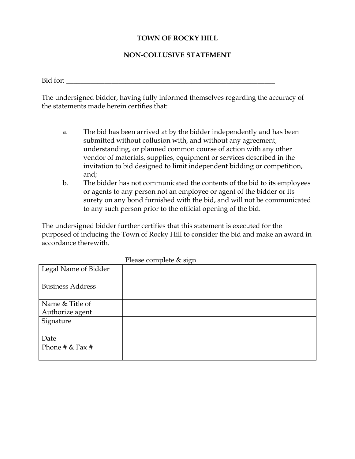# **TOWN OF ROCKY HILL**

#### **NON-COLLUSIVE STATEMENT**

 $Bid$  for:

The undersigned bidder, having fully informed themselves regarding the accuracy of the statements made herein certifies that:

- a. The bid has been arrived at by the bidder independently and has been submitted without collusion with, and without any agreement, understanding, or planned common course of action with any other vendor of materials, supplies, equipment or services described in the invitation to bid designed to limit independent bidding or competition, and;
- b. The bidder has not communicated the contents of the bid to its employees or agents to any person not an employee or agent of the bidder or its surety on any bond furnished with the bid, and will not be communicated to any such person prior to the official opening of the bid.

The undersigned bidder further certifies that this statement is executed for the purposed of inducing the Town of Rocky Hill to consider the bid and make an award in accordance therewith.

|                         | Please complete & sign |
|-------------------------|------------------------|
| Legal Name of Bidder    |                        |
|                         |                        |
| <b>Business Address</b> |                        |
|                         |                        |
| Name & Title of         |                        |
| Authorize agent         |                        |
| Signature               |                        |
|                         |                        |
| Date                    |                        |
| Phone # $&$ Fax #       |                        |
|                         |                        |